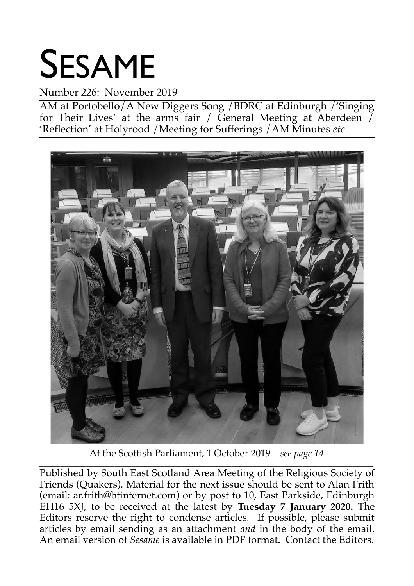# SESAME

### Number 226: November 2019

AM at Portobello/A New Diggers Song /BDRC at Edinburgh /'Singing for Their Lives' at the arms fair / General Meeting at Aberdeen  $\overline{$ 'Reflection' at Holyrood /Meeting for Sufferings /AM Minutes *etc*



At the Scottish Parliament, 1 October 2019 – *see page 14*

\_\_\_\_\_\_\_\_\_\_\_\_\_\_\_\_\_\_\_\_\_\_\_\_\_\_\_\_\_\_\_\_\_\_\_\_\_\_\_\_\_\_\_\_\_\_\_\_\_\_\_\_\_\_\_\_\_\_\_\_\_\_\_\_\_\_\_\_\_\_\_\_\_\_\_\_\_\_\_\_ Published by South East Scotland Area Meeting of the Religious Society of Friends (Quakers). Material for the next issue should be sent to Alan Frith (email: ar.frith@btinternet.com) or by post to 10, East Parkside, Edinburgh EH16 5XJ, to be received at the latest by **Tuesday 7 January 2020.** The Editors reserve the right to condense articles. If possible, please submit articles by email sending as an attachment *and* in the body of the email. An email version of *Sesame* is available in PDF format. Contact the Editors.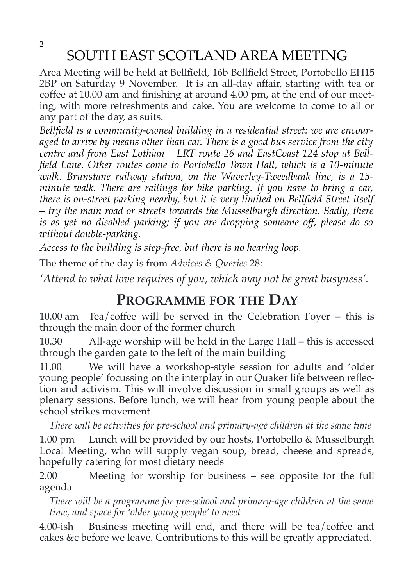2

### SOUTH EAST SCOTLAND AREA MEETING

Area Meeting will be held at Bellfield, 16b Bellfield Street, Portobello EH15 2BP on Saturday 9 November. It is an all-day affair, starting with tea or coffee at 10.00 am and finishing at around 4.00 pm, at the end of our meeting, with more refreshments and cake. You are welcome to come to all or any part of the day, as suits.

*Bellfield is a community-owned building in a residential street: we are encouraged to arrive by means other than car. There is a good bus service from the city centre and from East Lothian – LRT route 26 and EastCoast 124 stop at Bellfield Lane. Other routes come to Portobello Town Hall, which is a 10-minute walk. Brunstane railway station, on the Waverley-Tweedbank line, is a 15 minute walk. There are railings for bike parking. If you have to bring a car, there is on-street parking nearby, but it is very limited on Bellfield Street itself – try the main road or streets towards the Musselburgh direction. Sadly, there is as yet no disabled parking; if you are dropping someone off, please do so without double-parking.*

*Access to the building is step-free, but there is no hearing loop.*

The theme of the day is from *Advices & Queries* 28:

*'Attend to what love requires of you, which may not be great busyness'.*

### **PROGRAMME FOR THE DAY**

10.00 am Tea/coffee will be served in the Celebration Foyer – this is through the main door of the former church

10.30 All-age worship will be held in the Large Hall – this is accessed through the garden gate to the left of the main building

11.00 We will have a workshop-style session for adults and 'older young people' focussing on the interplay in our Quaker life between reflection and activism. This will involve discussion in small groups as well as plenary sessions. Before lunch, we will hear from young people about the school strikes movement

*There will be activities for pre-school and primary-age children at the same time*

1.00 pm Lunch will be provided by our hosts, Portobello & Musselburgh Local Meeting, who will supply vegan soup, bread, cheese and spreads, hopefully catering for most dietary needs

2.00 Meeting for worship for business – see opposite for the full agenda

*There will be a programme for pre-school and primary-age children at the same time, and space for 'older young people' to meet*

4.00-ish Business meeting will end, and there will be tea/coffee and cakes &c before we leave. Contributions to this will be greatly appreciated.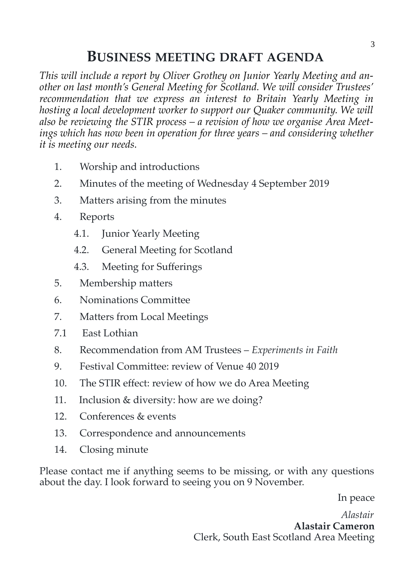### **BUSINESS MEETING DRAFT AGENDA**

*This will include a report by Oliver Grothey on Junior Yearly Meeting and another on last month's General Meeting for Scotland. We will consider Trustees' recommendation that we express an interest to Britain Yearly Meeting in hosting a local development worker to support our Quaker community. We will also be reviewing the STIR process – a revision of how we organise Area Meetings which has now been in operation for three years – and considering whether it is meeting our needs.*

- 1. Worship and introductions
- 2. Minutes of the meeting of Wednesday 4 September 2019
- 3. Matters arising from the minutes
- 4. Reports
	- 4.1. Junior Yearly Meeting
	- 4.2. General Meeting for Scotland
	- 4.3. Meeting for Sufferings
- 5. Membership matters
- 6. Nominations Committee
- 7. Matters from Local Meetings
- 7.1 East Lothian
- 8. Recommendation from AM Trustees *Experiments in Faith*
- 9. Festival Committee: review of Venue 40 2019
- 10. The STIR effect: review of how we do Area Meeting
- 11. Inclusion & diversity: how are we doing?
- 12. Conferences & events
- 13. Correspondence and announcements
- 14. Closing minute

Please contact me if anything seems to be missing, or with any questions about the day. I look forward to seeing you on 9 November.

In peace

*Alastair* **Alastair Cameron** Clerk, South East Scotland Area Meeting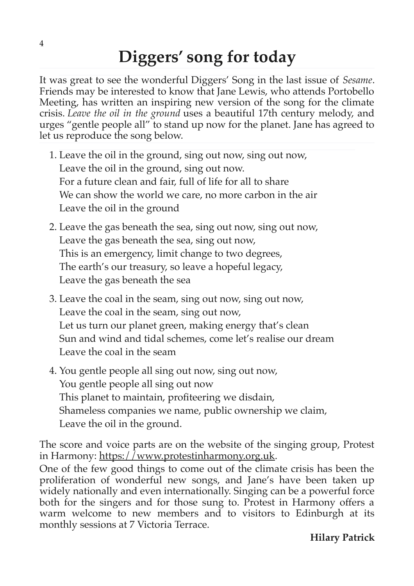# **Diggers' song for today**

It was great to see the wonderful Diggers' Song in the last issue of *Sesame*. Friends may be interested to know that Jane Lewis, who attends Portobello Meeting, has written an inspiring new version of the song for the climate crisis. *Leave the oil in the ground* uses a beautiful 17th century melody, and urges "gentle people all" to stand up now for the planet. Jane has agreed to let us reproduce the song below.

- 1. Leave the oil in the ground, sing out now, sing out now, Leave the oil in the ground, sing out now. For a future clean and fair, full of life for all to share We can show the world we care, no more carbon in the air Leave the oil in the ground
- 2. Leave the gas beneath the sea, sing out now, sing out now, Leave the gas beneath the sea, sing out now, This is an emergency, limit change to two degrees, The earth's our treasury, so leave a hopeful legacy, Leave the gas beneath the sea
- 3. Leave the coal in the seam, sing out now, sing out now, Leave the coal in the seam, sing out now, Let us turn our planet green, making energy that's clean Sun and wind and tidal schemes, come let's realise our dream Leave the coal in the seam
- 4. You gentle people all sing out now, sing out now, You gentle people all sing out now This planet to maintain, profiteering we disdain, Shameless companies we name, public ownership we claim, Leave the oil in the ground.

The score and voice parts are on the website of the singing group, Protest in Harmony: [https://www.protestinharmony.org.uk.](https://www.protestinharmony.org.uk/)

One of the few good things to come out of the climate crisis has been the proliferation of wonderful new songs, and Jane's have been taken up widely nationally and even internationally. Singing can be a powerful force both for the singers and for those sung to. Protest in Harmony offers a warm welcome to new members and to visitors to Edinburgh at its monthly sessions at 7 Victoria Terrace.

4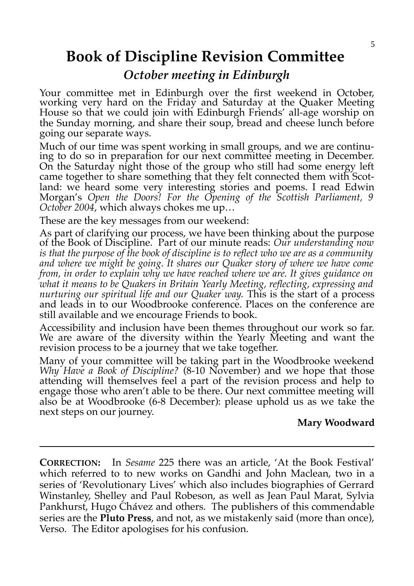### **Book of Discipline Revision Committee**

### *October meeting in Edinburgh*

Your committee met in Edinburgh over the first weekend in October, working very hard on the Friday and Saturday at the Quaker Meeting House so that we could join with Edinburgh Friends' all-age worship on the Sunday morning, and share their soup, bread and cheese lunch before going our separate ways.

Much of our time was spent working in small groups, and we are continuing to do so in preparation for our next committee meeting in December. On the Saturday night those of the group who still had some energy left came together to share something that they felt connected them with Scotland: we heard some very interesting stories and poems. I read Edwin Morgan's *Open the Doors! For the Opening of the Scottish Parliament, 9 October 2004*, which always chokes me up…

These are the key messages from our weekend:

As part of clarifying our process, we have been thinking about the purpose of the Book of Discipline. Part of our minute reads: *Our understanding now is that the purpose of the book of discipline is to reflect who we are as a community and where we might be going. It shares our Quaker story of where we have come from, in order to explain why we have reached where we are. It gives guidance on what it means to be Quakers in Britain Yearly Meeting, reflecting, expressing and nurturing our spiritual life and our Quaker way.* This is the start of a process and leads in to our Woodbrooke conference. Places on the conference are still available and we encourage Friends to book.

Accessibility and inclusion have been themes throughout our work so far. We are aware of the diversity within the Yearly Meeting and want the revision process to be a journey that we take together.

Many of your committee will be taking part in the Woodbrooke weekend *Why Have a Book of Discipline?* (8-10 November) and we hope that those attending will themselves feel a part of the revision process and help to engage those who aren't able to be there. Our next committee meeting will also be at Woodbrooke (6-8 December): please uphold us as we take the next steps on our journey.

### **Mary Woodward**

**CORRECTION:** In *Sesame* 225 there was an article, 'At the Book Festival' which referred to to new works on Gandhi and John Maclean, two in a series of 'Revolutionary Lives' which also includes biographies of Gerrard Winstanley, Shelley and Paul Robeson, as well as Jean Paul Marat, Sylvia Pankhurst, Hugo Chávez and others. The publishers of this commendable series are the **Pluto Press**, and not, as we mistakenly said (more than once), Verso. The Editor apologises for his confusion.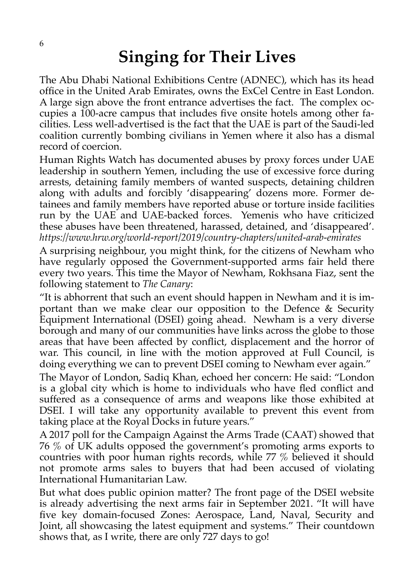# **Singing for Their Lives**

The Abu Dhabi National Exhibitions Centre (ADNEC), which has its head office in the United Arab Emirates, owns the ExCel Centre in East London. A large sign above the front entrance advertises the fact. The complex occupies a 100-acre campus that includes five onsite hotels among other facilities. Less well-advertised is the fact that the UAE is part of the Saudi-led coalition currently bombing civilians in Yemen where it also has a dismal record of coercion.

Human Rights Watch has documented abuses by proxy forces under UAE leadership in southern Yemen, including the use of excessive force during arrests, detaining family members of wanted suspects, detaining children along with adults and forcibly 'disappearing' dozens more. Former detainees and family members have reported abuse or torture inside facilities run by the UAE and UAE-backed forces. Yemenis who have criticized these abuses have been threatened, harassed, detained, and 'disappeared'. *https://www.hrw.org/world-report/2019/country-chapters/united-arab-emirates*

A surprising neighbour, you might think, for the citizens of Newham who have regularly opposed the Government-supported arms fair held there every two years. This time the Mayor of Newham, Rokhsana Fiaz, sent the following statement to *The Canary*:

"It is abhorrent that such an event should happen in Newham and it is important than we make clear our opposition to the Defence & Security Equipment International (DSEI) going ahead. Newham is a very diverse borough and many of our communities have links across the globe to those areas that have been affected by conflict, displacement and the horror of war. This council, in line with the motion approved at Full Council, is doing everything we can to prevent DSEI coming to Newham ever again."

The Mayor of London, Sadiq Khan, echoed her concern: He said: "London is a global city which is home to individuals who have fled conflict and suffered as a consequence of arms and weapons like those exhibited at DSEI. I will take any opportunity available to prevent this event from taking place at the Royal Docks in future years."

A 2017 poll for the Campaign Against the Arms Trade (CAAT) showed that 76 % of UK adults opposed the government's promoting arms exports to countries with poor human rights records, while 77 % believed it should not promote arms sales to buyers that had been accused of violating International Humanitarian Law.

But what does public opinion matter? The front page of the DSEI website is already advertising the next arms fair in September 2021. "It will have five key domain-focused Zones: Aerospace, Land, Naval, Security and Joint, all showcasing the latest equipment and systems." Their countdown shows that, as I write, there are only 727 days to go!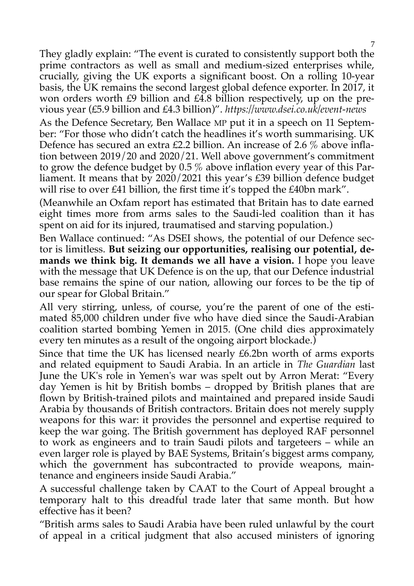They gladly explain: "The event is curated to consistently support both the prime contractors as well as small and medium-sized enterprises while, crucially, giving the UK exports a significant boost. On a rolling 10-year basis, the UK remains the second largest global defence exporter. In 2017, it won orders worth £9 billion and £4.8 billion respectively, up on the previous year (£5.9 billion and £4.3 billion)". *https://www.dsei.co.uk/event-news*

As the Defence Secretary, Ben Wallace MP put it in a speech on 11 September: "For those who didn't catch the headlines it's worth summarising. UK Defence has secured an extra £2.2 billion. An increase of 2.6 % above inflation between 2019/20 and 2020/21. Well above government's commitment to grow the defence budget by 0.5 % above inflation every year of this Parliament. It means that by 2020/2021 this year's £39 billion defence budget will rise to over £41 billion, the first time it's topped the £40bn mark".

(Meanwhile an Oxfam report has estimated that Britain has to date earned eight times more from arms sales to the Saudi-led coalition than it has spent on aid for its injured, traumatised and starving population.)

Ben Wallace continued: "As DSEI shows, the potential of our Defence sector is limitless. **But seizing our opportunities, realising our potential, demands we think big. It demands we all have a vision.** I hope you leave with the message that UK Defence is on the up, that our Defence industrial base remains the spine of our nation, allowing our forces to be the tip of our spear for Global Britain."

All very stirring, unless, of course, you're the parent of one of the estimated 85,000 children under five who have died since the Saudi-Arabian coalition started bombing Yemen in 2015. (One child dies approximately every ten minutes as a result of the ongoing airport blockade.)

Since that time the UK has licensed nearly £6.2bn worth of arms exports and related equipment to Saudi Arabia. In an article in *The Guardian* last June the UK's role in Yemen's war was spelt out by Arron Merat: "Every day Yemen is hit by British bombs – dropped by British planes that are flown by British-trained pilots and maintained and prepared inside Saudi Arabia by thousands of British contractors. Britain does not merely supply weapons for this war: it provides the personnel and expertise required to keep the war going. The British government has deployed RAF personnel to work as engineers and to train Saudi pilots and targeteers – while an even larger role is played by BAE Systems, Britain's biggest arms company, which the government has subcontracted to provide weapons, maintenance and engineers inside Saudi Arabia."

A successful challenge taken by CAAT to the Court of Appeal brought a temporary halt to this dreadful trade later that same month. But how effective has it been?

"British arms sales to Saudi Arabia have been ruled unlawful by the court of appeal in a critical judgment that also accused ministers of ignoring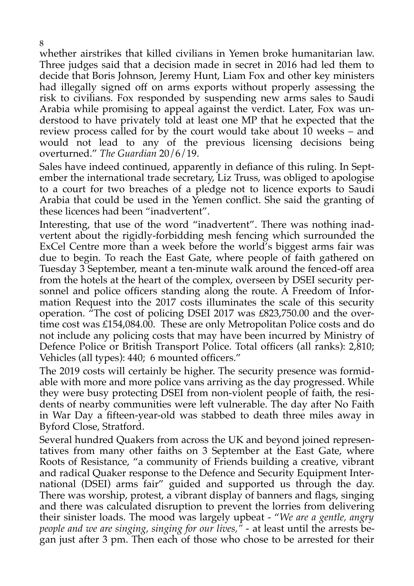whether airstrikes that killed civilians in Yemen broke humanitarian law. Three judges said that a decision made in secret in 2016 had led them to decide that Boris Johnson, Jeremy Hunt, Liam Fox and other key ministers had illegally signed off on arms exports without properly assessing the risk to civilians. Fox responded by suspending new arms sales to Saudi Arabia while promising to appeal against the verdict. Later, Fox was understood to have privately told at least one MP that he expected that the review process called for by the court would take about 10 weeks – and would not lead to any of the previous licensing decisions being overturned." *The Guardian* 20/6/19.

Sales have indeed continued, apparently in defiance of this ruling. In September the international trade secretary, Liz Truss, was obliged to apologise to a court for two breaches of a pledge not to licence exports to Saudi Arabia that could be used in the Yemen conflict. She said the granting of these licences had been "inadvertent".

Interesting, that use of the word "inadvertent". There was nothing inadvertent about the rigidly-forbidding mesh fencing which surrounded the ExCel Centre more than a week before the world's biggest arms fair was due to begin. To reach the East Gate, where people of faith gathered on Tuesday 3 September, meant a ten-minute walk around the fenced-off area from the hotels at the heart of the complex, overseen by DSEI security personnel and police officers standing along the route. A Freedom of Information Request into the 2017 costs illuminates the scale of this security operation. "The cost of policing DSEI 2017 was £823,750.00 and the overtime cost was £154,084.00. These are only Metropolitan Police costs and do not include any policing costs that may have been incurred by Ministry of Defence Police or British Transport Police. Total officers (all ranks): 2,810; Vehicles (all types): 440; 6 mounted officers."

The 2019 costs will certainly be higher. The security presence was formidable with more and more police vans arriving as the day progressed. While they were busy protecting DSEI from non-violent people of faith, the residents of nearby communities were left vulnerable. The day after No Faith in War Day a fifteen-year-old was stabbed to death three miles away in Byford Close, Stratford.

Several hundred Quakers from across the UK and beyond joined representatives from many other faiths on 3 September at the East Gate, where Roots of Resistance, "a community of Friends building a creative, vibrant and radical Quaker response to the Defence and Security Equipment International (DSEI) arms fair" guided and supported us through the day. There was worship, protest, a vibrant display of banners and flags, singing and there was calculated disruption to prevent the lorries from delivering their sinister loads. The mood was largely upbeat - "*We are a gentle, angry people and we are singing, singing for our lives,*<sup>*n*</sup> - at least until the arrests began just after 3 pm. Then each of those who chose to be arrested for their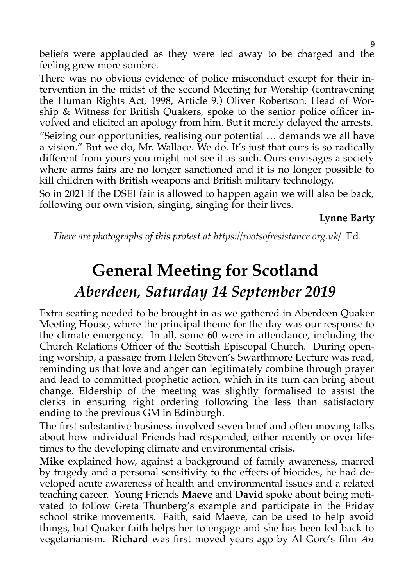beliefs were applauded as they were led away to be charged and the feeling grew more sombre.

There was no obvious evidence of police misconduct except for their intervention in the midst of the second Meeting for Worship (contravening the Human Rights Act, 1998, Article 9.) Oliver Robertson, Head of Worship & Witness for British Quakers, spoke to the senior police officer involved and elicited an apology from him. But it merely delayed the arrests.

"Seizing our opportunities, realising our potential … demands we all have a vision." But we do, Mr. Wallace. We do. It's just that ours is so radically different from yours you might not see it as such. Ours envisages a society where arms fairs are no longer sanctioned and it is no longer possible to kill children with British weapons and British military technology.

So in 2021 if the DSEI fair is allowed to happen again we will also be back, following our own vision, singing, singing for their lives.

**Lynne Barty**

*There are photographs of this protest at <https://rootsofresistance.org.uk/>*Ed.

# **General Meeting for Scotland**  *Aberdeen, Saturday 14 September 2019*

Extra seating needed to be brought in as we gathered in Aberdeen Quaker Meeting House, where the principal theme for the day was our response to the climate emergency. In all, some 60 were in attendance, including the Church Relations Officer of the Scottish Episcopal Church. During opening worship, a passage from Helen Steven's Swarthmore Lecture was read, reminding us that love and anger can legitimately combine through prayer and lead to committed prophetic action, which in its turn can bring about change. Eldership of the meeting was slightly formalised to assist the clerks in ensuring right ordering following the less than satisfactory ending to the previous GM in Edinburgh.

The first substantive business involved seven brief and often moving talks about how individual Friends had responded, either recently or over lifetimes to the developing climate and environmental crisis.

**Mike** explained how, against a background of family awareness, marred by tragedy and a personal sensitivity to the effects of biocides, he had developed acute awareness of health and environmental issues and a related teaching career. Young Friends **Maeve** and **David** spoke about being motivated to follow Greta Thunberg's example and participate in the Friday school strike movements. Faith, said Maeve, can be used to help avoid things, but Quaker faith helps her to engage and she has been led back to vegetarianism. **Richard** was first moved years ago by Al Gore's film *An*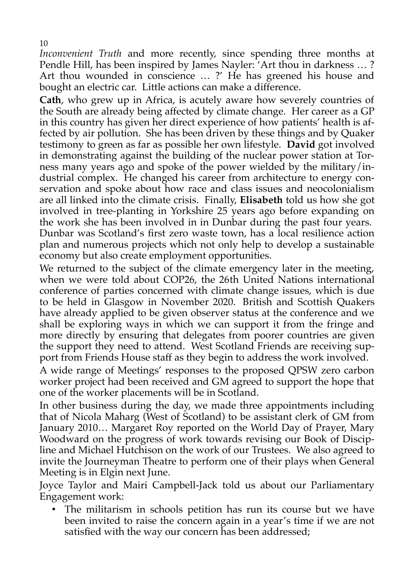*Inconvenient Truth* and more recently, since spending three months at Pendle Hill, has been inspired by James Nayler: 'Art thou in darkness … ? Art thou wounded in conscience … ?' He has greened his house and bought an electric car. Little actions can make a difference.

**Cath**, who grew up in Africa, is acutely aware how severely countries of the South are already being affected by climate change. Her career as a GP in this country has given her direct experience of how patients' health is affected by air pollution. She has been driven by these things and by Quaker testimony to green as far as possible her own lifestyle. **David** got involved in demonstrating against the building of the nuclear power station at Torness many years ago and spoke of the power wielded by the military/industrial complex. He changed his career from architecture to energy conservation and spoke about how race and class issues and neocolonialism are all linked into the climate crisis. Finally, **Elisabeth** told us how she got involved in tree-planting in Yorkshire 25 years ago before expanding on the work she has been involved in in Dunbar during the past four years. Dunbar was Scotland's first zero waste town, has a local resilience action plan and numerous projects which not only help to develop a sustainable economy but also create employment opportunities.

We returned to the subject of the climate emergency later in the meeting, when we were told about COP26, the 26th United Nations international conference of parties concerned with climate change issues, which is due to be held in Glasgow in November 2020. British and Scottish Quakers have already applied to be given observer status at the conference and we shall be exploring ways in which we can support it from the fringe and more directly by ensuring that delegates from poorer countries are given the support they need to attend. West Scotland Friends are receiving support from Friends House staff as they begin to address the work involved.

A wide range of Meetings' responses to the proposed QPSW zero carbon worker project had been received and GM agreed to support the hope that one of the worker placements will be in Scotland.

In other business during the day, we made three appointments including that of Nicola Maharg (West of Scotland) to be assistant clerk of GM from January 2010… Margaret Roy reported on the World Day of Prayer, Mary Woodward on the progress of work towards revising our Book of Discipline and Michael Hutchison on the work of our Trustees. We also agreed to invite the Journeyman Theatre to perform one of their plays when General Meeting is in Elgin next June.

Joyce Taylor and Mairi Campbell-Jack told us about our Parliamentary Engagement work:

The militarism in schools petition has run its course but we have been invited to raise the concern again in a year's time if we are not satisfied with the way our concern has been addressed;

10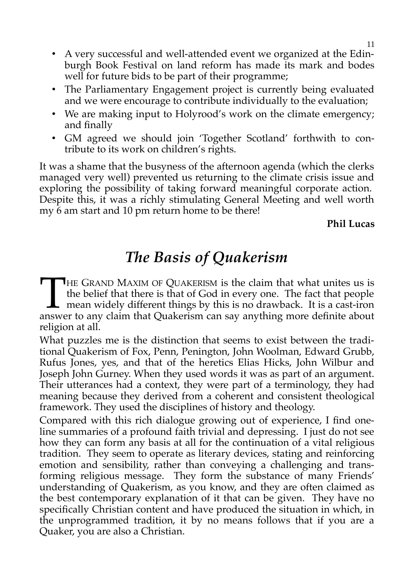- A very successful and well-attended event we organized at the Edinburgh Book Festival on land reform has made its mark and bodes well for future bids to be part of their programme;
- The Parliamentary Engagement project is currently being evaluated and we were encourage to contribute individually to the evaluation;
- We are making input to Holyrood's work on the climate emergency; and finally
- GM agreed we should join 'Together Scotland' forthwith to contribute to its work on children's rights.

It was a shame that the busyness of the afternoon agenda (which the clerks managed very well) prevented us returning to the climate crisis issue and exploring the possibility of taking forward meaningful corporate action. Despite this, it was a richly stimulating General Meeting and well worth my 6 am start and 10 pm return home to be there!

**Phil Lucas**

## *The Basis of Quakerism*

**HE GRAND MAXIM OF QUAKERISM is the claim that what unites us is** the belief that there is that of God in every one. The fact that people  $\mathsf{\mathsf{L}}$  mean widely different things by this is no drawback. It is a cast-iron THE GRAND MAXIM OF QUAKERISM is the claim that what unites us is the belief that there is that of God in every one. The fact that people mean widely different things by this is no drawback. It is a cast-iron answer to any religion at all.

What puzzles me is the distinction that seems to exist between the traditional Quakerism of Fox, Penn, Penington, John Woolman, Edward Grubb, Rufus Jones, yes, and that of the heretics Elias Hicks, John Wilbur and Joseph John Gurney. When they used words it was as part of an argument. Their utterances had a context, they were part of a terminology, they had meaning because they derived from a coherent and consistent theological framework. They used the disciplines of history and theology.

Compared with this rich dialogue growing out of experience, I find oneline summaries of a profound faith trivial and depressing. I just do not see how they can form any basis at all for the continuation of a vital religious tradition. They seem to operate as literary devices, stating and reinforcing emotion and sensibility, rather than conveying a challenging and transforming religious message. They form the substance of many Friends' understanding of Quakerism, as you know, and they are often claimed as the best contemporary explanation of it that can be given. They have no specifically Christian content and have produced the situation in which, in the unprogrammed tradition, it by no means follows that if you are a Quaker, you are also a Christian.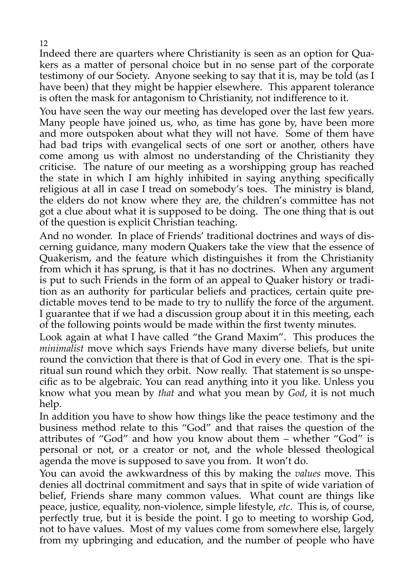Indeed there are quarters where Christianity is seen as an option for Quakers as a matter of personal choice but in no sense part of the corporate testimony of our Society. Anyone seeking to say that it is, may be told (as I have been) that they might be happier elsewhere. This apparent tolerance is often the mask for antagonism to Christianity, not indifference to it.

You have seen the way our meeting has developed over the last few years. Many people have joined us, who, as time has gone by, have been more and more outspoken about what they will not have. Some of them have had bad trips with evangelical sects of one sort or another, others have come among us with almost no understanding of the Christianity they criticise. The nature of our meeting as a worshipping group has reached the state in which I am highly inhibited in saying anything specifically religious at all in case I tread on somebody's toes. The ministry is bland, the elders do not know where they are, the children's committee has not got a clue about what it is supposed to be doing. The one thing that is out of the question is explicit Christian teaching.

And no wonder. In place of Friends' traditional doctrines and ways of discerning guidance, many modern Quakers take the view that the essence of Quakerism, and the feature which distinguishes it from the Christianity from which it has sprung, is that it has no doctrines. When any argument is put to such Friends in the form of an appeal to Quaker history or tradition as an authority for particular beliefs and practices, certain quite predictable moves tend to be made to try to nullify the force of the argument. I guarantee that if we had a discussion group about it in this meeting, each of the following points would be made within the first twenty minutes.

Look again at what I have called "the Grand Maxim". This produces the *minimalist* move which says Friends have many diverse beliefs, but unite round the conviction that there is that of God in every one. That is the spiritual sun round which they orbit. Now really. That statement is so unspecific as to be algebraic. You can read anything into it you like. Unless you know what you mean by *that* and what you mean by *God*, it is not much help.

In addition you have to show how things like the peace testimony and the business method relate to this "God" and that raises the question of the attributes of "God" and how you know about them – whether "God" is personal or not, or a creator or not, and the whole blessed theological agenda the move is supposed to save you from. It won't do.

You can avoid the awkwardness of this by making the *values* move. This denies all doctrinal commitment and says that in spite of wide variation of belief, Friends share many common values. What count are things like peace, justice, equality, non-violence, simple lifestyle, *etc*. This is, of course, perfectly true, but it is beside the point. I go to meeting to worship God, not to have values. Most of my values come from somewhere else, largely from my upbringing and education, and the number of people who have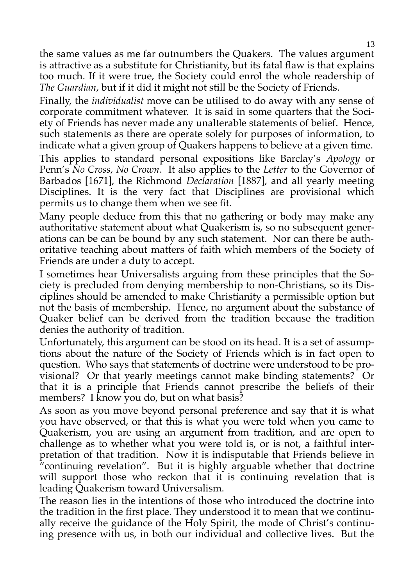the same values as me far outnumbers the Quakers. The values argument is attractive as a substitute for Christianity, but its fatal flaw is that explains too much. If it were true, the Society could enrol the whole readership of *The Guardian*, but if it did it might not still be the Society of Friends.

Finally, the *individualist* move can be utilised to do away with any sense of corporate commitment whatever. It is said in some quarters that the Society of Friends has never made any unalterable statements of belief. Hence, such statements as there are operate solely for purposes of information, to indicate what a given group of Quakers happens to believe at a given time.

This applies to standard personal expositions like Barclay's *Apology* or Penn's *No Cross, No Crown*. It also applies to the *Letter* to the Governor of Barbados [1671], the Richmond *Declaration* [1887], and all yearly meeting Disciplines. It is the very fact that Disciplines are provisional which permits us to change them when we see fit.

Many people deduce from this that no gathering or body may make any authoritative statement about what Quakerism is, so no subsequent generations can be can be bound by any such statement. Nor can there be authoritative teaching about matters of faith which members of the Society of Friends are under a duty to accept.

I sometimes hear Universalists arguing from these principles that the Society is precluded from denying membership to non-Christians, so its Disciplines should be amended to make Christianity a permissible option but not the basis of membership. Hence, no argument about the substance of Quaker belief can be derived from the tradition because the tradition denies the authority of tradition.

Unfortunately, this argument can be stood on its head. It is a set of assumptions about the nature of the Society of Friends which is in fact open to question. Who says that statements of doctrine were understood to be provisional? Or that yearly meetings cannot make binding statements? Or that it is a principle that Friends cannot prescribe the beliefs of their members? I know you do, but on what basis?

As soon as you move beyond personal preference and say that it is what you have observed, or that this is what you were told when you came to Quakerism, you are using an argument from tradition, and are open to challenge as to whether what you were told is, or is not, a faithful interpretation of that tradition. Now it is indisputable that Friends believe in "continuing revelation". But it is highly arguable whether that doctrine will support those who reckon that it is continuing revelation that is leading Quakerism toward Universalism.

The reason lies in the intentions of those who introduced the doctrine into the tradition in the first place. They understood it to mean that we continually receive the guidance of the Holy Spirit, the mode of Christ's continuing presence with us, in both our individual and collective lives. But the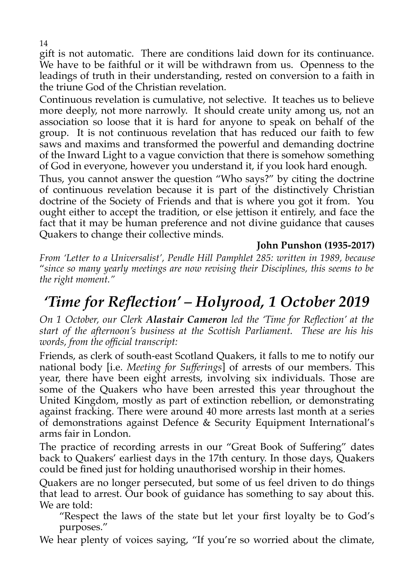gift is not automatic. There are conditions laid down for its continuance. We have to be faithful or it will be withdrawn from us. Openness to the leadings of truth in their understanding, rested on conversion to a faith in the triune God of the Christian revelation.

Continuous revelation is cumulative, not selective. It teaches us to believe more deeply, not more narrowly. It should create unity among us, not an association so loose that it is hard for anyone to speak on behalf of the group. It is not continuous revelation that has reduced our faith to few saws and maxims and transformed the powerful and demanding doctrine of the Inward Light to a vague conviction that there is somehow something of God in everyone, however you understand it, if you look hard enough.

Thus, you cannot answer the question "Who says?" by citing the doctrine of continuous revelation because it is part of the distinctively Christian doctrine of the Society of Friends and that is where you got it from. You ought either to accept the tradition, or else jettison it entirely, and face the fact that it may be human preference and not divine guidance that causes Quakers to change their collective minds.

### **John Punshon (1935-2017)**

*From 'Letter to a Universalist', Pendle Hill Pamphlet 285: written in 1989, because* "*since so many yearly meetings are now revising their Disciplines, this seems to be the right moment."*

### *'Time for Reflection' – Holyrood, 1 October 2019*

*On 1 October, our Clerk Alastair Cameron led the 'Time for Reflection' at the start of the afternoon's business at the Scottish Parliament. These are his his words, from the official transcript:*

Friends, as clerk of south-east Scotland Quakers, it falls to me to notify our national body [i.e. *Meeting for Sufferings*] of arrests of our members. This year, there have been eight arrests, involving six individuals. Those are some of the Quakers who have been arrested this year throughout the United Kingdom, mostly as part of extinction rebellion, or demonstrating against fracking. There were around 40 more arrests last month at a series of demonstrations against Defence & Security Equipment International's arms fair in London.

The practice of recording arrests in our "Great Book of Suffering" dates back to Quakers' earliest days in the 17th century. In those days, Quakers could be fined just for holding unauthorised worship in their homes.

Quakers are no longer persecuted, but some of us feel driven to do things that lead to arrest. Our book of guidance has something to say about this. We are told:

"Respect the laws of the state but let your first loyalty be to God's purposes."

We hear plenty of voices saying, "If you're so worried about the climate,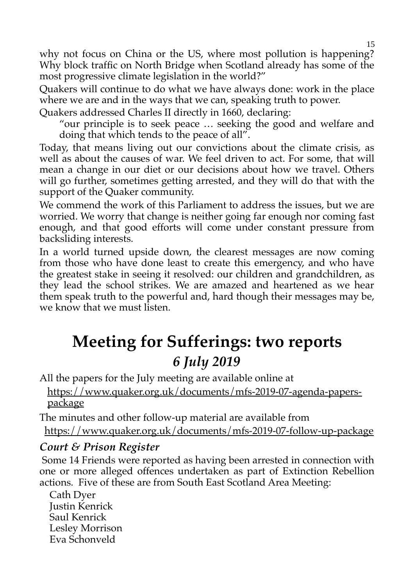why not focus on China or the US, where most pollution is happening? Why block traffic on North Bridge when Scotland already has some of the most progressive climate legislation in the world?"

Quakers will continue to do what we have always done: work in the place where we are and in the ways that we can, speaking truth to power.

Quakers addressed Charles II directly in 1660, declaring:

"our principle is to seek peace … seeking the good and welfare and doing that which tends to the peace of all".

Today, that means living out our convictions about the climate crisis, as well as about the causes of war. We feel driven to act. For some, that will mean a change in our diet or our decisions about how we travel. Others will go further, sometimes getting arrested, and they will do that with the support of the Quaker community.

We commend the work of this Parliament to address the issues, but we are worried. We worry that change is neither going far enough nor coming fast enough, and that good efforts will come under constant pressure from backsliding interests.

In a world turned upside down, the clearest messages are now coming from those who have done least to create this emergency, and who have the greatest stake in seeing it resolved: our children and grandchildren, as they lead the school strikes. We are amazed and heartened as we hear them speak truth to the powerful and, hard though their messages may be, we know that we must listen.

# **Meeting for Sufferings: two reports** *6 July 2019*

All the papers for the July meeting are available online at

https://www.quaker.org.uk/documents/mfs-2019-07-agenda-paperspackage

The minutes and other follow-up material are available from

https://www.quaker.org.uk/documents/mfs-2019-07-follow-up-package

### *Court & Prison Register*

 Some 14 Friends were reported as having been arrested in connection with one or more alleged offences undertaken as part of Extinction Rebellion actions. Five of these are from South East Scotland Area Meeting:

 Cath Dyer Justin Kenrick Saul Kenrick Lesley Morrison Eva Schonveld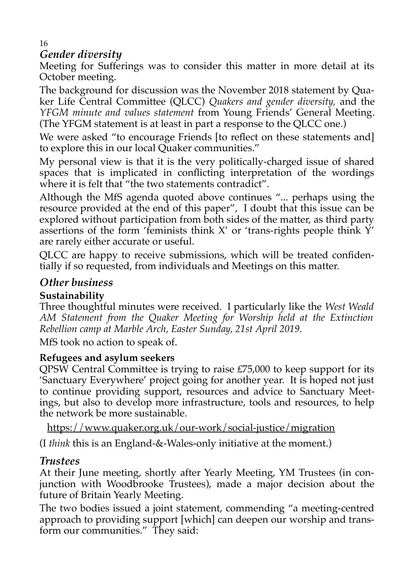#### 16 *Gender diversity*

Meeting for Sufferings was to consider this matter in more detail at its October meeting.

The background for discussion was the November 2018 statement by Quaker Life Central Committee (QLCC) *Quakers and gender diversity,* and the *YFGM minute and values statement* from Young Friends' General Meeting. (The YFGM statement is at least in part a response to the QLCC one.)

We were asked "to encourage Friends [to reflect on these statements and] to explore this in our local Quaker communities."

My personal view is that it is the very politically-charged issue of shared spaces that is implicated in conflicting interpretation of the wordings where it is felt that "the two statements contradict".

Although the MfS agenda quoted above continues "... perhaps using the resource provided at the end of this paper", I doubt that this issue can be explored without participation from both sides of the matter, as third party assertions of the form 'feminists think  $X'$  or 'trans-rights people think  $Y'$ are rarely either accurate or useful.

QLCC are happy to receive submissions, which will be treated confidentially if so requested, from individuals and Meetings on this matter.

### *Other business*

### **Sustainability**

Three thoughtful minutes were received. I particularly like the *West Weald AM Statement from the Quaker Meeting for Worship held at the Extinction Rebellion camp at Marble Arch, Easter Sunday, 21st April 2019.*

MfS took no action to speak of.

### **Refugees and asylum seekers**

QPSW Central Committee is trying to raise £75,000 to keep support for its 'Sanctuary Everywhere' project going for another year. It is hoped not just to continue providing support, resources and advice to Sanctuary Meetings, but also to develop more infrastructure, tools and resources, to help the network be more sustainable.

https://www.quaker.org.uk/our-work/social-justice/migration

(I *think* this is an England-&-Wales-only initiative at the moment.)

### *Trustees*

At their June meeting, shortly after Yearly Meeting, YM Trustees (in conjunction with Woodbrooke Trustees), made a major decision about the future of Britain Yearly Meeting.

The two bodies issued a joint statement, commending "a meeting-centred approach to providing support [which] can deepen our worship and transform our communities." They said: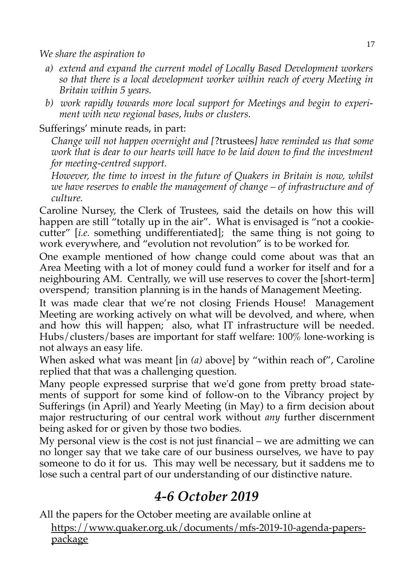*We share the aspiration to*

- *a) extend and expand the current model of Locally Based Development workers so that there is a local development worker within reach of every Meeting in Britain within 5 years.*
- *b) work rapidly towards more local support for Meetings and begin to experiment with new regional bases, hubs or clusters.*

### Sufferings' minute reads, in part:

*Change will not happen overnight and [*?trustees*] have reminded us that some work that is dear to our hearts will have to be laid down to find the investment for meeting-centred support.*

*However, the time to invest in the future of Quakers in Britain is now, whilst we have reserves to enable the management of change – of infrastructure and of culture.*

Caroline Nursey, the Clerk of Trustees, said the details on how this will happen are still "totally up in the air". What is envisaged is "not a cookiecutter" [*i.e.* something undifferentiated]; the same thing is not going to work everywhere, and "evolution not revolution" is to be worked for.

One example mentioned of how change could come about was that an Area Meeting with a lot of money could fund a worker for itself and for a neighbouring AM. Centrally, we will use reserves to cover the [short-term] overspend; transition planning is in the hands of Management Meeting.

It was made clear that we're not closing Friends House! Management Meeting are working actively on what will be devolved, and where, when and how this will happen; also, what IT infrastructure will be needed. Hubs/clusters/bases are important for staff welfare: 100% lone-working is not always an easy life.

When asked what was meant [in *(a)* above] by "within reach of", Caroline replied that that was a challenging question.

Many people expressed surprise that we'd gone from pretty broad statements of support for some kind of follow-on to the Vibrancy project by Sufferings (in April) and Yearly Meeting (in May) to a firm decision about major restructuring of our central work without *any* further discernment being asked for or given by those two bodies.

My personal view is the cost is not just financial – we are admitting we can no longer say that we take care of our business ourselves, we have to pay someone to do it for us. This may well be necessary, but it saddens me to lose such a central part of our understanding of our distinctive nature.

### *4-6 October 2019*

All the papers for the October meeting are available online at

https://www.quaker.org.uk/documents/mfs-2019-10-agenda-paperspackage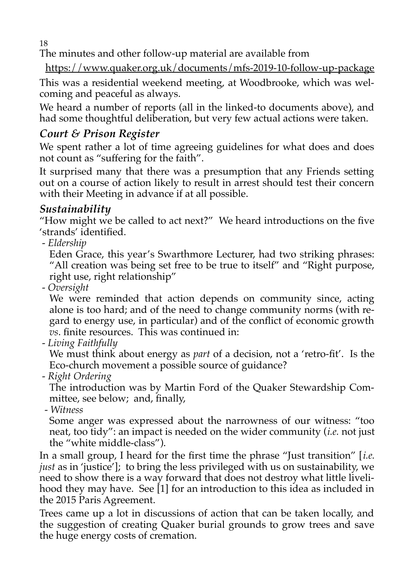18

The minutes and other follow-up material are available from

https://www.quaker.org.uk/documents/mfs-2019-10-follow-up-package

This was a residential weekend meeting, at Woodbrooke, which was welcoming and peaceful as always.

We heard a number of reports (all in the linked-to documents above), and had some thoughtful deliberation, but very few actual actions were taken.

### *Court & Prison Register*

We spent rather a lot of time agreeing guidelines for what does and does not count as "suffering for the faith".

It surprised many that there was a presumption that any Friends setting out on a course of action likely to result in arrest should test their concern with their Meeting in advance if at all possible.

### *Sustainability*

"How might we be called to act next?" We heard introductions on the five 'strands' identified.

- *Eldership*

Eden Grace, this year's Swarthmore Lecturer, had two striking phrases: "All creation was being set free to be true to itself" and "Right purpose, right use, right relationship"

- *Oversight*

We were reminded that action depends on community since, acting alone is too hard; and of the need to change community norms (with regard to energy use, in particular) and of the conflict of economic growth *vs*. finite resources. This was continued in:

- *Living Faithfully*

We must think about energy as *part* of a decision, not a 'retro-fit'. Is the Eco-church movement a possible source of guidance?

- *Right Ordering*

The introduction was by Martin Ford of the Quaker Stewardship Committee, see below; and, finally,

- *Witness*

Some anger was expressed about the narrowness of our witness: "too neat, too tidy": an impact is needed on the wider community (*i.e.* not just the "white middle-class").

In a small group, I heard for the first time the phrase "Just transition" [*i.e. just* as in 'justice']; to bring the less privileged with us on sustainability, we need to show there is a way forward that does not destroy what little livelihood they may have. See [1] for an introduction to this idea as included in the 2015 Paris Agreement.

Trees came up a lot in discussions of action that can be taken locally, and the suggestion of creating Quaker burial grounds to grow trees and save the huge energy costs of cremation.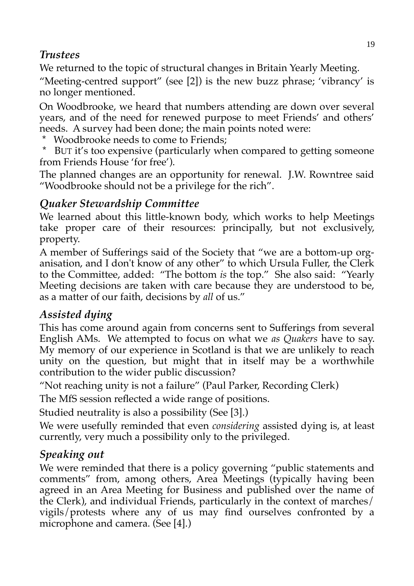### *Trustees*

We returned to the topic of structural changes in Britain Yearly Meeting.

"Meeting-centred support" (see [2]) is the new buzz phrase; 'vibrancy' is no longer mentioned.

On Woodbrooke, we heard that numbers attending are down over several years, and of the need for renewed purpose to meet Friends' and others' needs. A survey had been done; the main points noted were:

- Woodbrooke needs to come to Friends:
- \* BUT it's too expensive (particularly when compared to getting someone from Friends House 'for free').

The planned changes are an opportunity for renewal. J.W. Rowntree said "Woodbrooke should not be a privilege for the rich".

### *Quaker Stewardship Committee*

We learned about this little-known body, which works to help Meetings take proper care of their resources: principally, but not exclusively, property.

A member of Sufferings said of the Society that "we are a bottom-up organisation, and I don't know of any other" to which Ursula Fuller, the Clerk to the Committee, added: "The bottom *is* the top." She also said: "Yearly Meeting decisions are taken with care because they are understood to be, as a matter of our faith, decisions by *all* of us."

### *Assisted dying*

This has come around again from concerns sent to Sufferings from several English AMs. We attempted to focus on what we *as Quakers* have to say. My memory of our experience in Scotland is that we are unlikely to reach unity on the question, but might that in itself may be a worthwhile contribution to the wider public discussion?

"Not reaching unity is not a failure" (Paul Parker, Recording Clerk)

The MfS session reflected a wide range of positions.

Studied neutrality is also a possibility (See [3].)

We were usefully reminded that even *considering* assisted dying is, at least currently, very much a possibility only to the privileged.

### *Speaking out*

We were reminded that there is a policy governing "public statements and comments" from, among others, Area Meetings (typically having been agreed in an Area Meeting for Business and published over the name of the Clerk), and individual Friends, particularly in the context of marches/ vigils/protests where any of us may find ourselves confronted by a microphone and camera. (See [4].)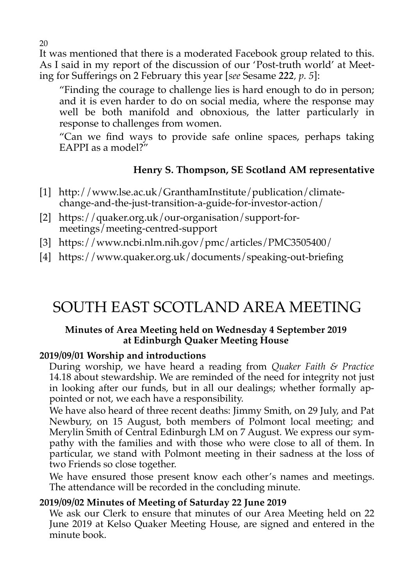It was mentioned that there is a moderated Facebook group related to this. As I said in my report of the discussion of our 'Post-truth world' at Meeting for Sufferings on 2 February this year [*see* Sesame *222, p. 5*]:

"Finding the courage to challenge lies is hard enough to do in person; and it is even harder to do on social media, where the response may well be both manifold and obnoxious, the latter particularly in response to challenges from women.

"Can we find ways to provide safe online spaces, perhaps taking EAPPI as a model?"

### **Henry S. Thompson, SE Scotland AM representative**

- [1] http://www.lse.ac.uk/GranthamInstitute/publication/climatechange-and-the-just-transition-a-guide-for-investor-action/
- [2] https://quaker.org.uk/our-organisation/support-formeetings/meeting-centred-support
- [3] https://www.ncbi.nlm.nih.gov/pmc/articles/PMC3505400/
- [4] https://www.quaker.org.uk/documents/speaking-out-briefing

# SOUTH EAST SCOTLAND AREA MEETING

### **Minutes of Area Meeting held on Wednesday 4 September 2019 at Edinburgh Quaker Meeting House**

### **2019/09/01 Worship and introductions**

During worship, we have heard a reading from *Quaker Faith & Practice* 14.18 about stewardship. We are reminded of the need for integrity not just in looking after our funds, but in all our dealings; whether formally appointed or not, we each have a responsibility.

We have also heard of three recent deaths: Jimmy Smith, on 29 July, and Pat Newbury, on 15 August, both members of Polmont local meeting; and Merylin Smith of Central Edinburgh LM on 7 August. We express our sympathy with the families and with those who were close to all of them. In particular, we stand with Polmont meeting in their sadness at the loss of two Friends so close together.

We have ensured those present know each other's names and meetings. The attendance will be recorded in the concluding minute.

### **2019/09/02 Minutes of Meeting of Saturday 22 June 2019**

We ask our Clerk to ensure that minutes of our Area Meeting held on 22 June 2019 at Kelso Quaker Meeting House, are signed and entered in the minute book.

20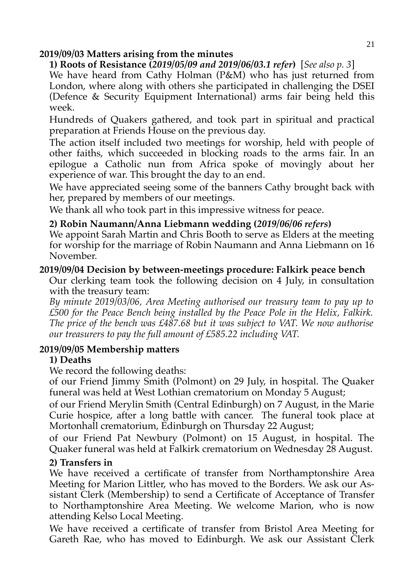#### **2019/09/03 Matters arising from the minutes**

### **1) Roots of Resistance (***2019/05/09 and 2019/06/03.1 refer***)** [*See also p. 3*]

We have heard from Cathy Holman (P&M) who has just returned from London, where along with others she participated in challenging the DSEI (Defence & Security Equipment International) arms fair being held this week.

Hundreds of Quakers gathered, and took part in spiritual and practical preparation at Friends House on the previous day.

The action itself included two meetings for worship, held with people of other faiths, which succeeded in blocking roads to the arms fair. In an epilogue a Catholic nun from Africa spoke of movingly about her experience of war. This brought the day to an end.

We have appreciated seeing some of the banners Cathy brought back with her, prepared by members of our meetings.

We thank all who took part in this impressive witness for peace.

### **2) Robin Naumann/Anna Liebmann wedding (***2019/06/06 refers***)**

We appoint Sarah Martin and Chris Booth to serve as Elders at the meeting for worship for the marriage of Robin Naumann and Anna Liebmann on 16 November.

#### **2019/09/04 Decision by between-meetings procedure: Falkirk peace bench**

Our clerking team took the following decision on 4 July, in consultation with the treasury team:

*By minute 2019/03/06, Area Meeting authorised our treasury team to pay up to £500 for the Peace Bench being installed by the Peace Pole in the Helix, Falkirk. The price of the bench was £487.68 but it was subject to VAT. We now authorise our treasurers to pay the full amount of £585.22 including VAT.* 

### **2019/09/05 Membership matters**

### **1) Deaths**

We record the following deaths:

of our Friend Jimmy Smith (Polmont) on 29 July, in hospital. The Quaker funeral was held at West Lothian crematorium on Monday 5 August;

of our Friend Merylin Smith (Central Edinburgh) on 7 August, in the Marie Curie hospice, after a long battle with cancer. The funeral took place at Mortonhall crematorium, Edinburgh on Thursday 22 August;

of our Friend Pat Newbury (Polmont) on 15 August, in hospital. The Quaker funeral was held at Falkirk crematorium on Wednesday 28 August.

### **2) Transfers in**

We have received a certificate of transfer from Northamptonshire Area Meeting for Marion Littler, who has moved to the Borders. We ask our Assistant Clerk (Membership) to send a Certificate of Acceptance of Transfer to Northamptonshire Area Meeting. We welcome Marion, who is now attending Kelso Local Meeting.

We have received a certificate of transfer from Bristol Area Meeting for Gareth Rae, who has moved to Edinburgh. We ask our Assistant Clerk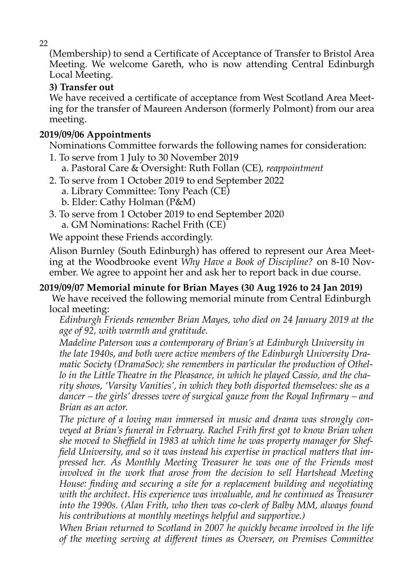(Membership) to send a Certificate of Acceptance of Transfer to Bristol Area Meeting. We welcome Gareth, who is now attending Central Edinburgh Local Meeting.

### **3) Transfer out**

We have received a certificate of acceptance from West Scotland Area Meeting for the transfer of Maureen Anderson (formerly Polmont) from our area meeting.

### **2019/09/06 Appointments**

Nominations Committee forwards the following names for consideration:

- 1. To serve from 1 July to 30 November 2019
- a. Pastoral Care & Oversight: Ruth Follan (CE), *reappointment*
- 2. To serve from 1 October 2019 to end September 2022
	- a. Library Committee: Tony Peach (CE)
		- b. Elder: Cathy Holman (P&M)
- 3. To serve from 1 October 2019 to end September 2020
	- a. GM Nominations: Rachel Frith (CE)

We appoint these Friends accordingly.

Alison Burnley (South Edinburgh) has offered to represent our Area Meeting at the Woodbrooke event *Why Have a Book of Discipline?* on 8-10 November. We agree to appoint her and ask her to report back in due course.

### **2019/09/07 Memorial minute for Brian Mayes (30 Aug 1926 to 24 Jan 2019)**

 We have received the following memorial minute from Central Edinburgh local meeting:

*Edinburgh Friends remember Brian Mayes, who died on 24 January 2019 at the age of 92, with warmth and gratitude.* 

*Madeline Paterson was a contemporary of Brian's at Edinburgh University in the late 1940s, and both were active members of the Edinburgh University Dramatic Society (DramaSoc); she remembers in particular the production of Othello in the Little Theatre in the Pleasance, in which he played Cassio, and the charity shows, 'Varsity Vanities', in which they both disported themselves: she as a dancer – the girls' dresses were of surgical gauze from the Royal Infirmary – and Brian as an actor.* 

*The picture of a loving man immersed in music and drama was strongly conveyed at Brian's funeral in February. Rachel Frith first got to know Brian when she moved to Sheffield in 1983 at which time he was property manager for Sheffield University, and so it was instead his expertise in practical matters that impressed her. As Monthly Meeting Treasurer he was one of the Friends most involved in the work that arose from the decision to sell Hartshead Meeting House: finding and securing a site for a replacement building and negotiating with the architect. His experience was invaluable, and he continued as Treasurer into the 1990s. (Alan Frith, who then was co-clerk of Balby MM, always found his contributions at monthly meetings helpful and supportive.)* 

*When Brian returned to Scotland in 2007 he quickly became involved in the life of the meeting serving at different times as Overseer, on Premises Committee*

22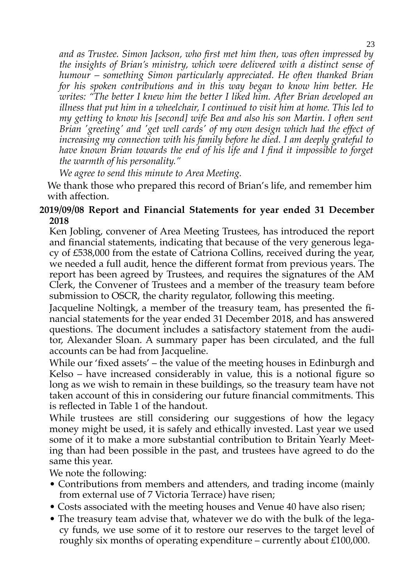*and as Trustee. Simon Jackson, who first met him then, was often impressed by the insights of Brian's ministry, which were delivered with a distinct sense of humour – something Simon particularly appreciated. He often thanked Brian for his spoken contributions and in this way began to know him better. He writes: "The better I knew him the better I liked him. After Brian developed an illness that put him in a wheelchair, I continued to visit him at home. This led to my getting to know his [second] wife Bea and also his son Martin. I often sent Brian 'greeting' and 'get well cards' of my own design which had the effect of increasing my connection with his family before he died. I am deeply grateful to have known Brian towards the end of his life and I find it impossible to forget the warmth of his personality."* 

*We agree to send this minute to Area Meeting.* 

We thank those who prepared this record of Brian's life, and remember him with affection.

### **2019/09/08 Report and Financial Statements for year ended 31 December 2018**

Ken Jobling, convener of Area Meeting Trustees, has introduced the report and financial statements, indicating that because of the very generous legacy of £538,000 from the estate of Catriona Collins, received during the year, we needed a full audit, hence the different format from previous years. The report has been agreed by Trustees, and requires the signatures of the AM Clerk, the Convener of Trustees and a member of the treasury team before submission to OSCR, the charity regulator, following this meeting.

Jacqueline Noltingk, a member of the treasury team, has presented the financial statements for the year ended 31 December 2018, and has answered questions. The document includes a satisfactory statement from the auditor, Alexander Sloan. A summary paper has been circulated, and the full accounts can be had from Jacqueline.

While our 'fixed assets' – the value of the meeting houses in Edinburgh and Kelso – have increased considerably in value, this is a notional figure so long as we wish to remain in these buildings, so the treasury team have not taken account of this in considering our future financial commitments. This is reflected in Table 1 of the handout.

While trustees are still considering our suggestions of how the legacy money might be used, it is safely and ethically invested. Last year we used some of it to make a more substantial contribution to Britain Yearly Meeting than had been possible in the past, and trustees have agreed to do the same this year.

We note the following:

- Contributions from members and attenders, and trading income (mainly from external use of 7 Victoria Terrace) have risen;
- Costs associated with the meeting houses and Venue 40 have also risen;
- The treasury team advise that, whatever we do with the bulk of the legacy funds, we use some of it to restore our reserves to the target level of roughly six months of operating expenditure – currently about £100,000.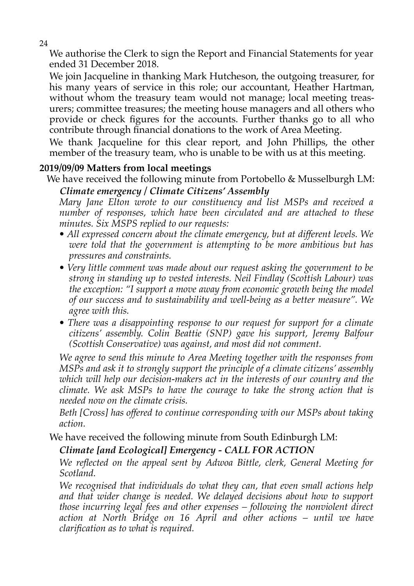24

We authorise the Clerk to sign the Report and Financial Statements for year ended 31 December 2018.

We join Jacqueline in thanking Mark Hutcheson, the outgoing treasurer, for his many years of service in this role; our accountant, Heather Hartman, without whom the treasury team would not manage; local meeting treasurers; committee treasures; the meeting house managers and all others who provide or check figures for the accounts. Further thanks go to all who contribute through financial donations to the work of Area Meeting.

We thank Jacqueline for this clear report, and John Phillips, the other member of the treasury team, who is unable to be with us at this meeting.

### **2019/09/09 Matters from local meetings**

We have received the following minute from Portobello & Musselburgh LM:

### *Climate emergency / Climate Citizens' Assembly*

*Mary Jane Elton wrote to our constituency and list MSPs and received a number of responses, which have been circulated and are attached to these minutes. Six MSPS replied to our requests:* 

- *All expressed concern about the climate emergency, but at different levels. We were told that the government is attempting to be more ambitious but has pressures and constraints.*
- *Very little comment was made about our request asking the government to be strong in standing up to vested interests. Neil Findlay (Scottish Labour) was the exception: "I support a move away from economic growth being the model of our success and to sustainability and well-being as a better measure". We agree with this.*
- *There was a disappointing response to our request for support for a climate citizens' assembly. Colin Beattie (SNP) gave his support, Jeremy Balfour (Scottish Conservative) was against, and most did not comment.*

*We agree to send this minute to Area Meeting together with the responses from MSPs and ask it to strongly support the principle of a climate citizens' assembly which will help our decision-makers act in the interests of our country and the climate. We ask MSPs to have the courage to take the strong action that is needed now on the climate crisis.* 

*Beth [Cross] has offered to continue corresponding with our MSPs about taking action.* 

We have received the following minute from South Edinburgh LM:

### *Climate [and Ecological] Emergency - CALL FOR ACTION*

*We reflected on the appeal sent by Adwoa Bittle, clerk, General Meeting for Scotland.* 

*We recognised that individuals do what they can, that even small actions help and that wider change is needed. We delayed decisions about how to support those incurring legal fees and other expenses – following the nonviolent direct action at North Bridge on 16 April and other actions – until we have clarification as to what is required.*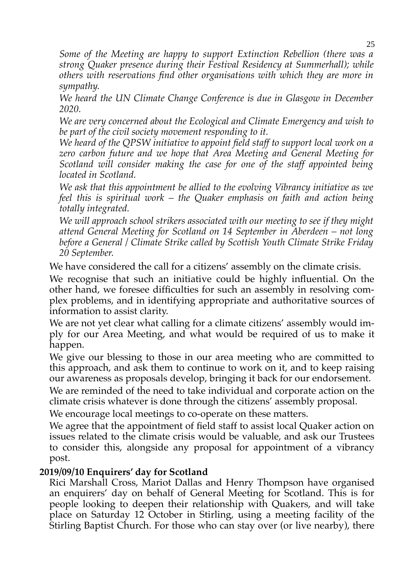*Some of the Meeting are happy to support Extinction Rebellion (there was a strong Quaker presence during their Festival Residency at Summerhall); while others with reservations find other organisations with which they are more in sympathy.* 

*We heard the UN Climate Change Conference is due in Glasgow in December 2020.* 

*We are very concerned about the Ecological and Climate Emergency and wish to be part of the civil society movement responding to it.* 

*We heard of the QPSW initiative to appoint field staff to support local work on a zero carbon future and we hope that Area Meeting and General Meeting for Scotland will consider making the case for one of the staff appointed being located in Scotland.* 

*We ask that this appointment be allied to the evolving Vibrancy initiative as we feel this is spiritual work – the Quaker emphasis on faith and action being totally integrated.* 

*We will approach school strikers associated with our meeting to see if they might attend General Meeting for Scotland on 14 September in Aberdeen – not long before a General / Climate Strike called by Scottish Youth Climate Strike Friday 20 September.* 

We have considered the call for a citizens' assembly on the climate crisis.

We recognise that such an initiative could be highly influential. On the other hand, we foresee difficulties for such an assembly in resolving complex problems, and in identifying appropriate and authoritative sources of information to assist clarity.

We are not yet clear what calling for a climate citizens' assembly would imply for our Area Meeting, and what would be required of us to make it happen.

We give our blessing to those in our area meeting who are committed to this approach, and ask them to continue to work on it, and to keep raising our awareness as proposals develop, bringing it back for our endorsement.

We are reminded of the need to take individual and corporate action on the climate crisis whatever is done through the citizens' assembly proposal.

We encourage local meetings to co-operate on these matters.

We agree that the appointment of field staff to assist local Quaker action on issues related to the climate crisis would be valuable, and ask our Trustees to consider this, alongside any proposal for appointment of a vibrancy post.

### **2019/09/10 Enquirers' day for Scotland**

Rici Marshall Cross, Mariot Dallas and Henry Thompson have organised an enquirers' day on behalf of General Meeting for Scotland. This is for people looking to deepen their relationship with Quakers, and will take place on Saturday 12 October in Stirling, using a meeting facility of the Stirling Baptist Church. For those who can stay over (or live nearby), there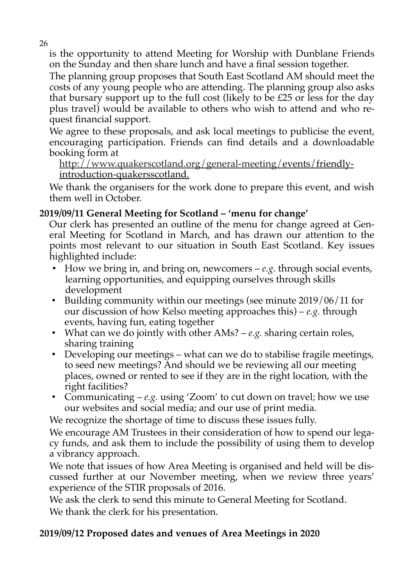is the opportunity to attend Meeting for Worship with Dunblane Friends on the Sunday and then share lunch and have a final session together.

The planning group proposes that South East Scotland AM should meet the costs of any young people who are attending. The planning group also asks that bursary support up to the full cost (likely to be £25 or less for the day plus travel) would be available to others who wish to attend and who request financial support.

We agree to these proposals, and ask local meetings to publicise the event, encouraging participation. Friends can find details and a downloadable booking form at

 [http://www.quakerscotland.org/general-meeting/ e](http://www.quakerscotland.org/general-meeting/)vents/friendlyintroduction-quakersscotland.

We thank the organisers for the work done to prepare this event, and wish them well in October.

### **2019/09/11 General Meeting for Scotland – 'menu for change'**

Our clerk has presented an outline of the menu for change agreed at General Meeting for Scotland in March, and has drawn our attention to the points most relevant to our situation in South East Scotland. Key issues highlighted include:

- How we bring in, and bring on, newcomers *e.g.* through social events, learning opportunities, and equipping ourselves through skills development
- Building community within our meetings (see minute 2019/06/11 for our discussion of how Kelso meeting approaches this) – *e.g.* through events, having fun, eating together
- What can we do jointly with other AMs? *e.g.* sharing certain roles, sharing training
- Developing our meetings what can we do to stabilise fragile meetings, to seed new meetings? And should we be reviewing all our meeting places, owned or rented to see if they are in the right location, with the right facilities?
- Communicating *e.g.* using 'Zoom' to cut down on travel; how we use our websites and social media; and our use of print media.

We recognize the shortage of time to discuss these issues fully.

We encourage AM Trustees in their consideration of how to spend our legacy funds, and ask them to include the possibility of using them to develop a vibrancy approach.

We note that issues of how Area Meeting is organised and held will be discussed further at our November meeting, when we review three years' experience of the STIR proposals of 2016.

We ask the clerk to send this minute to General Meeting for Scotland. We thank the clerk for his presentation.

### **2019/09/12 Proposed dates and venues of Area Meetings in 2020**

26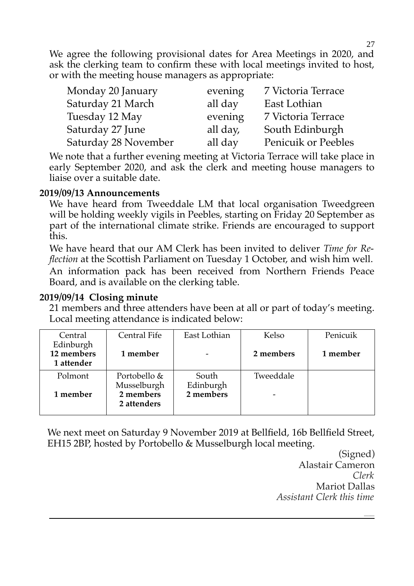We agree the following provisional dates for Area Meetings in 2020, and ask the clerking team to confirm these with local meetings invited to host, or with the meeting house managers as appropriate:

| Monday 20 January    | evening  | 7 Victoria Terrace  |
|----------------------|----------|---------------------|
| Saturday 21 March    | all day  | East Lothian        |
| Tuesday 12 May       | evening  | 7 Victoria Terrace  |
| Saturday 27 June     | all day, | South Edinburgh     |
| Saturday 28 November | all day  | Penicuik or Peebles |

We note that a further evening meeting at Victoria Terrace will take place in early September 2020, and ask the clerk and meeting house managers to liaise over a suitable date.

#### **2019/09/13 Announcements**

We have heard from Tweeddale LM that local organisation Tweedgreen will be holding weekly vigils in Peebles, starting on Friday 20 September as part of the international climate strike. Friends are encouraged to support this.

We have heard that our AM Clerk has been invited to deliver *Time for Reflection* at the Scottish Parliament on Tuesday 1 October, and wish him well. An information pack has been received from Northern Friends Peace Board, and is available on the clerking table.

### **2019/09/14 Closing minute**

21 members and three attenders have been at all or part of today's meeting. Local meeting attendance is indicated below:

| Central                               | Central Fife                | East Lothian       | Kelso     | Penicuik |
|---------------------------------------|-----------------------------|--------------------|-----------|----------|
| Edinburgh<br>12 members<br>1 attender | 1 member                    |                    | 2 members | 1 member |
| Polmont                               | Portobello &<br>Musselburgh | South<br>Edinburgh | Tweeddale |          |
| 1 member                              | 2 members<br>2 attenders    | 2 members          |           |          |

We next meet on Saturday 9 November 2019 at Bellfield, 16b Bellfield Street, EH15 2BP, hosted by Portobello & Musselburgh local meeting.

(Signed) Alastair Cameron *Clerk* Mariot Dallas *Assistant Clerk this time*

*\_\_\_\_\_*